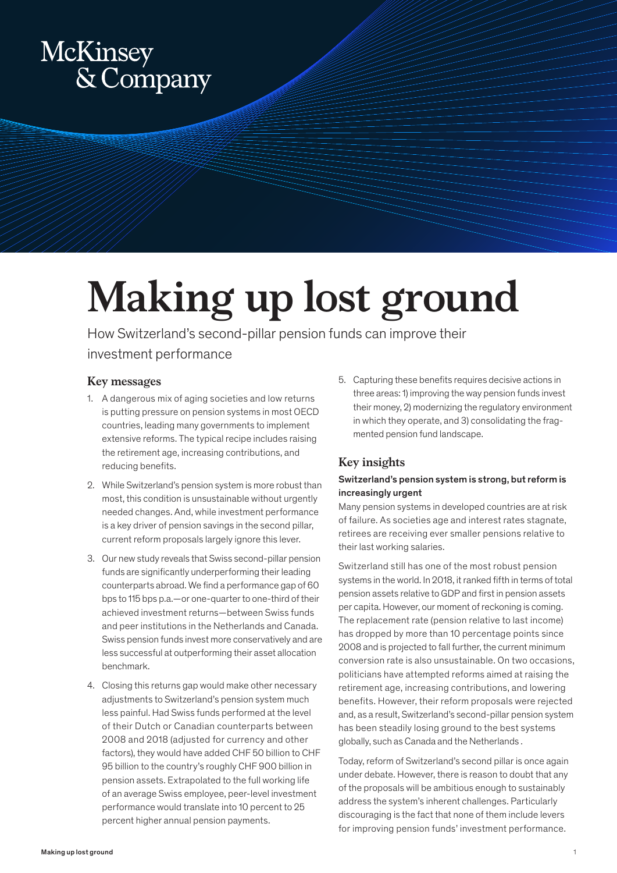# McKinsey<br>& Company

## **Making up lost ground**

How Switzerland's second-pillar pension funds can improve their investment performance

#### **Key messages**

- 1. A dangerous mix of aging societies and low returns is putting pressure on pension systems in most OECD countries, leading many governments to implement extensive reforms. The typical recipe includes raising the retirement age, increasing contributions, and reducing benefits.
- 2. While Switzerland's pension system is more robust than most, this condition is unsustainable without urgently needed changes. And, while investment performance is a key driver of pension savings in the second pillar, current reform proposals largely ignore this lever.
- 3. Our new study reveals that Swiss second-pillar pension funds are significantly underperforming their leading counterparts abroad. We find a performance gap of 60 bps to 115 bps p.a.—or one-quarter to one-third of their achieved investment returns—between Swiss funds and peer institutions in the Netherlands and Canada. Swiss pension funds invest more conservatively and are less successful at outperforming their asset allocation benchmark.
- 4. Closing this returns gap would make other necessary adjustments to Switzerland's pension system much less painful. Had Swiss funds performed at the level of their Dutch or Canadian counterparts between 2008 and 2018 (adjusted for currency and other factors), they would have added CHF 50 billion to CHF 95 billion to the country's roughly CHF 900 billion in pension assets. Extrapolated to the full working life of an average Swiss employee, peer-level investment performance would translate into 10 percent to 25 percent higher annual pension payments.

5. Capturing these benefits requires decisive actions in three areas: 1) improving the way pension funds invest their money, 2) modernizing the regulatory environment in which they operate, and 3) consolidating the fragmented pension fund landscape.

### **Key insights**

#### Switzerland's pension system is strong, but reform is increasingly urgent

Many pension systems in developed countries are at risk of failure. As societies age and interest rates stagnate, retirees are receiving ever smaller pensions relative to their last working salaries.

Switzerland still has one of the most robust pension systems in the world. In 2018, it ranked fifth in terms of total pension assets relative to GDP and first in pension assets per capita. However, our moment of reckoning is coming. The replacement rate (pension relative to last income) has dropped by more than 10 percentage points since 2008 and is projected to fall further, the current minimum conversion rate is also unsustainable. On two occasions, politicians have attempted reforms aimed at raising the retirement age, increasing contributions, and lowering benefits. However, their reform proposals were rejected and, as a result, Switzerland's second-pillar pension system has been steadily losing ground to the best systems globally, such as Canada and the Netherlands .

Today, reform of Switzerland's second pillar is once again under debate. However, there is reason to doubt that any of the proposals will be ambitious enough to sustainably address the system's inherent challenges. Particularly discouraging is the fact that none of them include levers for improving pension funds' investment performance.